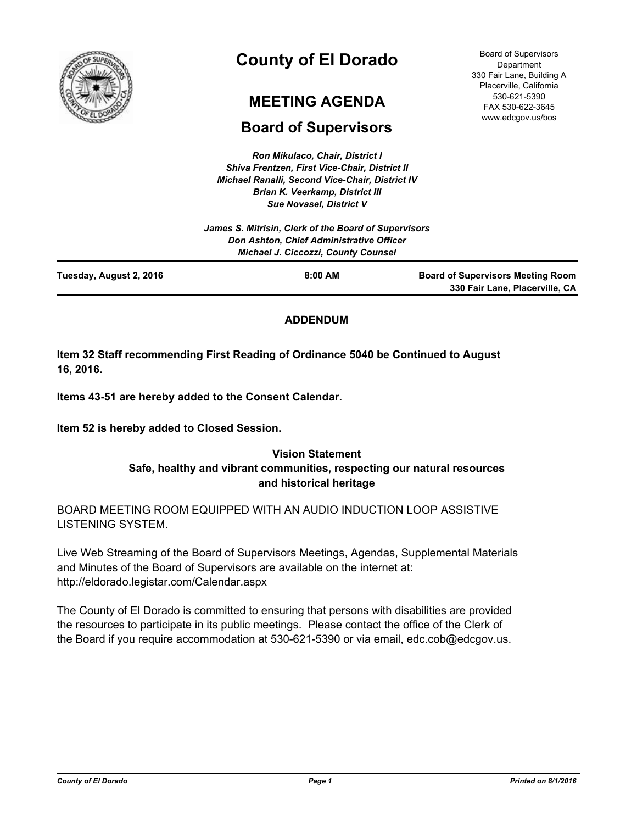

# **County of El Dorado**

## **MEETING AGENDA**

## **Board of Supervisors**

*Ron Mikulaco, Chair, District I Shiva Frentzen, First Vice-Chair, District II Michael Ranalli, Second Vice-Chair, District IV Brian K. Veerkamp, District III Sue Novasel, District V* 

Board of Supervisors Department 330 Fair Lane, Building A Placerville, California 530-621-5390 FAX 530-622-3645 www.edcgov.us/bos

|                         | James S. Mitrisin, Clerk of the Board of Supervisors<br>Don Ashton, Chief Administrative Officer<br><b>Michael J. Ciccozzi, County Counsel</b> |                                                                            |
|-------------------------|------------------------------------------------------------------------------------------------------------------------------------------------|----------------------------------------------------------------------------|
| Tuesday, August 2, 2016 | $8:00$ AM                                                                                                                                      | <b>Board of Supervisors Meeting Room</b><br>330 Fair Lane, Placerville, CA |

## **ADDENDUM**

**Item 32 Staff recommending First Reading of Ordinance 5040 be Continued to August 16, 2016.**

**Items 43-51 are hereby added to the Consent Calendar.**

**Item 52 is hereby added to Closed Session.**

## **Vision Statement Safe, healthy and vibrant communities, respecting our natural resources and historical heritage**

BOARD MEETING ROOM EQUIPPED WITH AN AUDIO INDUCTION LOOP ASSISTIVE LISTENING SYSTEM.

Live Web Streaming of the Board of Supervisors Meetings, Agendas, Supplemental Materials and Minutes of the Board of Supervisors are available on the internet at: http://eldorado.legistar.com/Calendar.aspx

The County of El Dorado is committed to ensuring that persons with disabilities are provided the resources to participate in its public meetings. Please contact the office of the Clerk of the Board if you require accommodation at 530-621-5390 or via email, edc.cob@edcgov.us.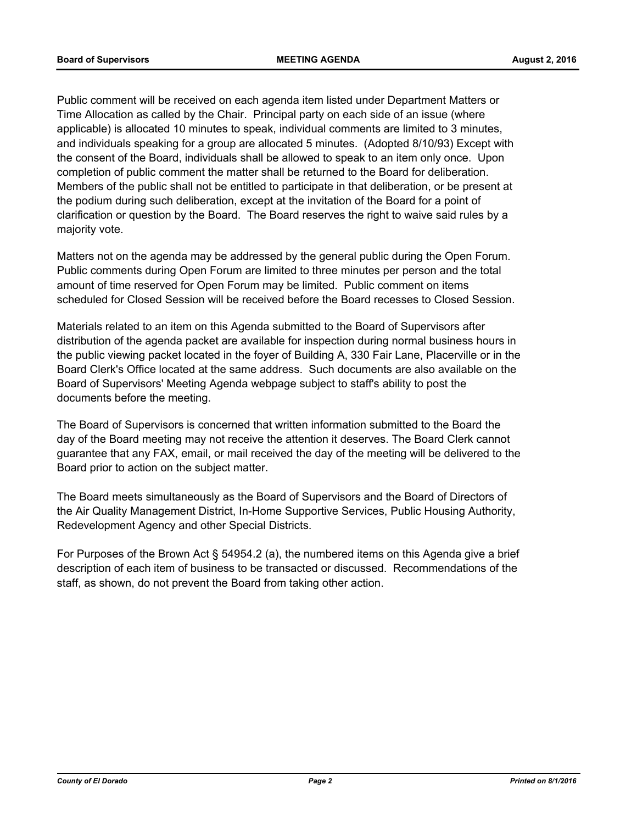Public comment will be received on each agenda item listed under Department Matters or Time Allocation as called by the Chair. Principal party on each side of an issue (where applicable) is allocated 10 minutes to speak, individual comments are limited to 3 minutes, and individuals speaking for a group are allocated 5 minutes. (Adopted 8/10/93) Except with the consent of the Board, individuals shall be allowed to speak to an item only once. Upon completion of public comment the matter shall be returned to the Board for deliberation. Members of the public shall not be entitled to participate in that deliberation, or be present at the podium during such deliberation, except at the invitation of the Board for a point of clarification or question by the Board. The Board reserves the right to waive said rules by a majority vote.

Matters not on the agenda may be addressed by the general public during the Open Forum. Public comments during Open Forum are limited to three minutes per person and the total amount of time reserved for Open Forum may be limited. Public comment on items scheduled for Closed Session will be received before the Board recesses to Closed Session.

Materials related to an item on this Agenda submitted to the Board of Supervisors after distribution of the agenda packet are available for inspection during normal business hours in the public viewing packet located in the foyer of Building A, 330 Fair Lane, Placerville or in the Board Clerk's Office located at the same address. Such documents are also available on the Board of Supervisors' Meeting Agenda webpage subject to staff's ability to post the documents before the meeting.

The Board of Supervisors is concerned that written information submitted to the Board the day of the Board meeting may not receive the attention it deserves. The Board Clerk cannot guarantee that any FAX, email, or mail received the day of the meeting will be delivered to the Board prior to action on the subject matter.

The Board meets simultaneously as the Board of Supervisors and the Board of Directors of the Air Quality Management District, In-Home Supportive Services, Public Housing Authority, Redevelopment Agency and other Special Districts.

For Purposes of the Brown Act § 54954.2 (a), the numbered items on this Agenda give a brief description of each item of business to be transacted or discussed. Recommendations of the staff, as shown, do not prevent the Board from taking other action.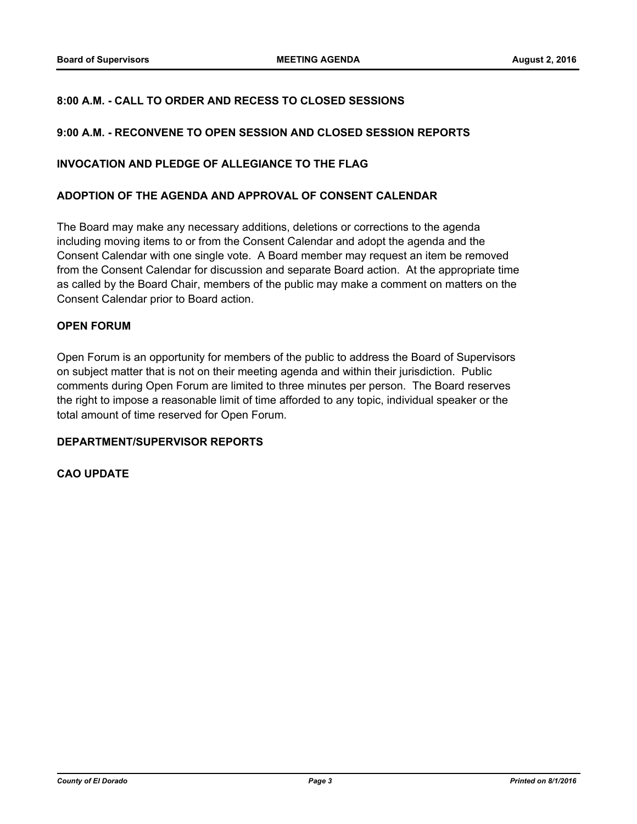### **8:00 A.M. - CALL TO ORDER AND RECESS TO CLOSED SESSIONS**

#### **9:00 A.M. - RECONVENE TO OPEN SESSION AND CLOSED SESSION REPORTS**

#### **INVOCATION AND PLEDGE OF ALLEGIANCE TO THE FLAG**

#### **ADOPTION OF THE AGENDA AND APPROVAL OF CONSENT CALENDAR**

The Board may make any necessary additions, deletions or corrections to the agenda including moving items to or from the Consent Calendar and adopt the agenda and the Consent Calendar with one single vote. A Board member may request an item be removed from the Consent Calendar for discussion and separate Board action. At the appropriate time as called by the Board Chair, members of the public may make a comment on matters on the Consent Calendar prior to Board action.

#### **OPEN FORUM**

Open Forum is an opportunity for members of the public to address the Board of Supervisors on subject matter that is not on their meeting agenda and within their jurisdiction. Public comments during Open Forum are limited to three minutes per person. The Board reserves the right to impose a reasonable limit of time afforded to any topic, individual speaker or the total amount of time reserved for Open Forum.

#### **DEPARTMENT/SUPERVISOR REPORTS**

#### **CAO UPDATE**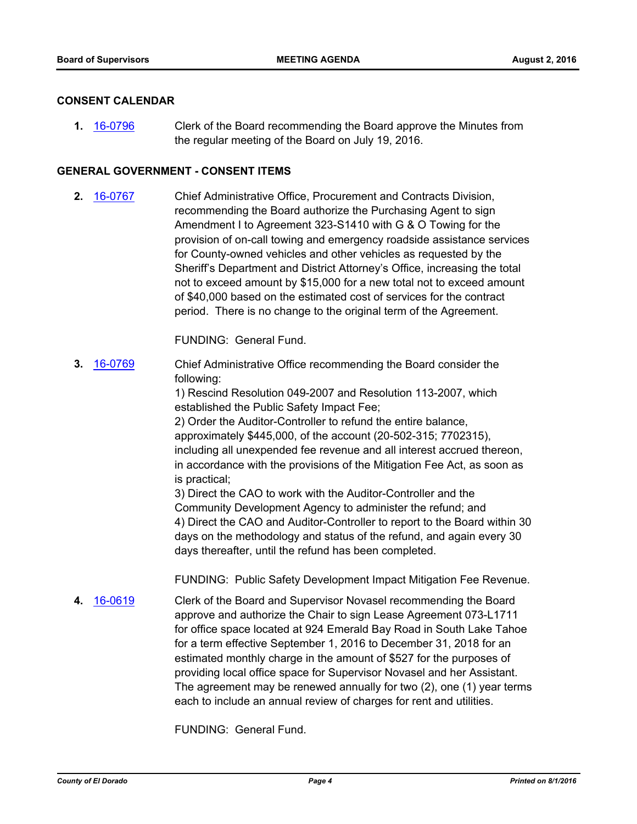#### **CONSENT CALENDAR**

Clerk of the Board recommending the Board approve the Minutes from the regular meeting of the Board on July 19, 2016. **1.** [16-0796](http://eldorado.legistar.com/gateway.aspx?m=l&id=/matter.aspx?key=21454)

#### **GENERAL GOVERNMENT - CONSENT ITEMS**

Chief Administrative Office, Procurement and Contracts Division, recommending the Board authorize the Purchasing Agent to sign Amendment I to Agreement 323-S1410 with G & O Towing for the provision of on-call towing and emergency roadside assistance services for County-owned vehicles and other vehicles as requested by the Sheriff's Department and District Attorney's Office, increasing the total not to exceed amount by \$15,000 for a new total not to exceed amount of \$40,000 based on the estimated cost of services for the contract period. There is no change to the original term of the Agreement. **2.** [16-0767](http://eldorado.legistar.com/gateway.aspx?m=l&id=/matter.aspx?key=21425)

FUNDING: General Fund.

Chief Administrative Office recommending the Board consider the following: **3.** [16-0769](http://eldorado.legistar.com/gateway.aspx?m=l&id=/matter.aspx?key=21427)

> 1) Rescind Resolution 049-2007 and Resolution 113-2007, which established the Public Safety Impact Fee;

2) Order the Auditor-Controller to refund the entire balance, approximately \$445,000, of the account (20-502-315; 7702315), including all unexpended fee revenue and all interest accrued thereon, in accordance with the provisions of the Mitigation Fee Act, as soon as is practical;

3) Direct the CAO to work with the Auditor-Controller and the Community Development Agency to administer the refund; and 4) Direct the CAO and Auditor-Controller to report to the Board within 30 days on the methodology and status of the refund, and again every 30 days thereafter, until the refund has been completed.

FUNDING: Public Safety Development Impact Mitigation Fee Revenue.

Clerk of the Board and Supervisor Novasel recommending the Board approve and authorize the Chair to sign Lease Agreement 073-L1711 for office space located at 924 Emerald Bay Road in South Lake Tahoe for a term effective September 1, 2016 to December 31, 2018 for an estimated monthly charge in the amount of \$527 for the purposes of providing local office space for Supervisor Novasel and her Assistant. The agreement may be renewed annually for two (2), one (1) year terms each to include an annual review of charges for rent and utilities. **4.** [16-0619](http://eldorado.legistar.com/gateway.aspx?m=l&id=/matter.aspx?key=21277)

FUNDING: General Fund.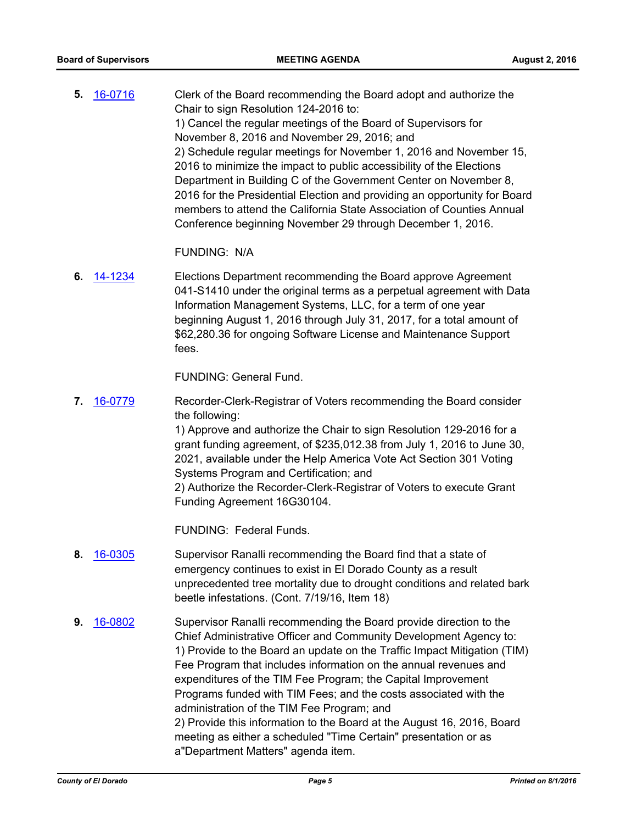Clerk of the Board recommending the Board adopt and authorize the Chair to sign Resolution 124-2016 to: 1) Cancel the regular meetings of the Board of Supervisors for November 8, 2016 and November 29, 2016; and 2) Schedule regular meetings for November 1, 2016 and November 15, 2016 to minimize the impact to public accessibility of the Elections Department in Building C of the Government Center on November 8, 2016 for the Presidential Election and providing an opportunity for Board members to attend the California State Association of Counties Annual Conference beginning November 29 through December 1, 2016. **5.** [16-0716](http://eldorado.legistar.com/gateway.aspx?m=l&id=/matter.aspx?key=21374)

FUNDING: N/A

Elections Department recommending the Board approve Agreement 041-S1410 under the original terms as a perpetual agreement with Data Information Management Systems, LLC, for a term of one year beginning August 1, 2016 through July 31, 2017, for a total amount of \$62,280.36 for ongoing Software License and Maintenance Support fees. **6.** [14-1234](http://eldorado.legistar.com/gateway.aspx?m=l&id=/matter.aspx?key=18718)

FUNDING: General Fund.

Recorder-Clerk-Registrar of Voters recommending the Board consider the following: 1) Approve and authorize the Chair to sign Resolution 129-2016 for a grant funding agreement, of \$235,012.38 from July 1, 2016 to June 30, 2021, available under the Help America Vote Act Section 301 Voting Systems Program and Certification; and 2) Authorize the Recorder-Clerk-Registrar of Voters to execute Grant Funding Agreement 16G30104. **7.** [16-0779](http://eldorado.legistar.com/gateway.aspx?m=l&id=/matter.aspx?key=21437)

FUNDING: Federal Funds.

- Supervisor Ranalli recommending the Board find that a state of emergency continues to exist in El Dorado County as a result unprecedented tree mortality due to drought conditions and related bark beetle infestations. (Cont. 7/19/16, Item 18) **8.** [16-0305](http://eldorado.legistar.com/gateway.aspx?m=l&id=/matter.aspx?key=20961)
- Supervisor Ranalli recommending the Board provide direction to the Chief Administrative Officer and Community Development Agency to: 1) Provide to the Board an update on the Traffic Impact Mitigation (TIM) Fee Program that includes information on the annual revenues and expenditures of the TIM Fee Program; the Capital Improvement Programs funded with TIM Fees; and the costs associated with the administration of the TIM Fee Program; and 2) Provide this information to the Board at the August 16, 2016, Board meeting as either a scheduled "Time Certain" presentation or as a"Department Matters" agenda item. **9.** [16-0802](http://eldorado.legistar.com/gateway.aspx?m=l&id=/matter.aspx?key=21460)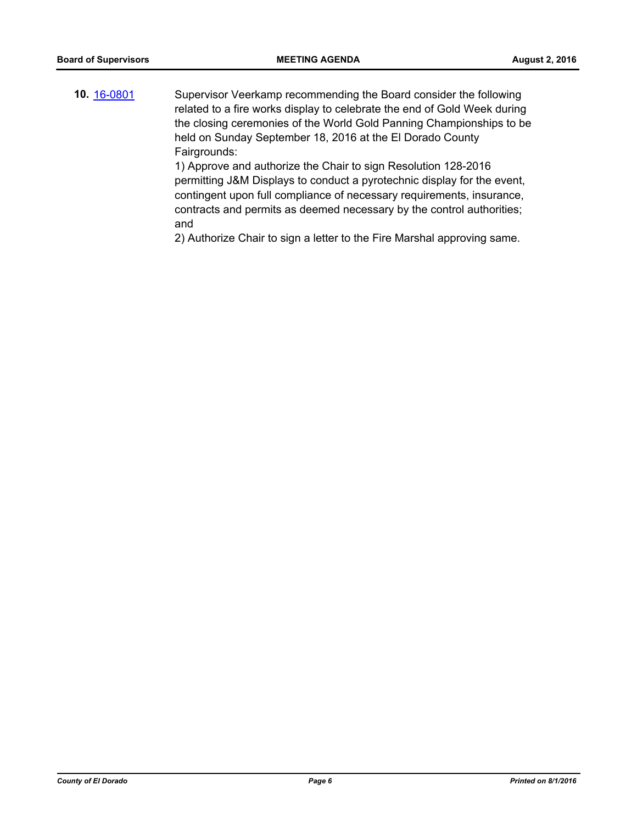Supervisor Veerkamp recommending the Board consider the following related to a fire works display to celebrate the end of Gold Week during the closing ceremonies of the World Gold Panning Championships to be held on Sunday September 18, 2016 at the El Dorado County Fairgrounds: 1) Approve and authorize the Chair to sign Resolution 128-2016 permitting J&M Displays to conduct a pyrotechnic display for the event, **10.** [16-0801](http://eldorado.legistar.com/gateway.aspx?m=l&id=/matter.aspx?key=21459)

contingent upon full compliance of necessary requirements, insurance, contracts and permits as deemed necessary by the control authorities; and

2) Authorize Chair to sign a letter to the Fire Marshal approving same.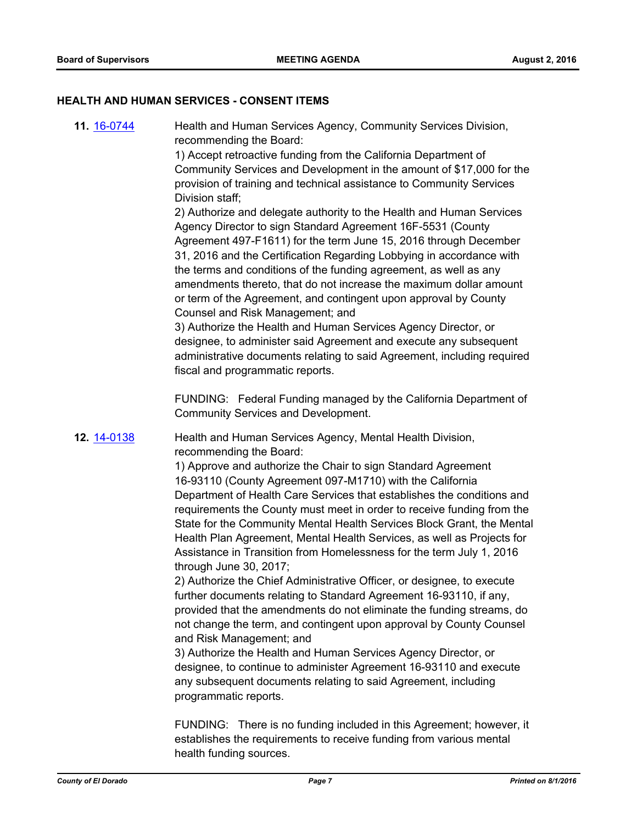#### **HEALTH AND HUMAN SERVICES - CONSENT ITEMS**

Health and Human Services Agency, Community Services Division, recommending the Board: **11.** [16-0744](http://eldorado.legistar.com/gateway.aspx?m=l&id=/matter.aspx?key=21402)

1) Accept retroactive funding from the California Department of Community Services and Development in the amount of \$17,000 for the provision of training and technical assistance to Community Services Division staff;

2) Authorize and delegate authority to the Health and Human Services Agency Director to sign Standard Agreement 16F-5531 (County Agreement 497-F1611) for the term June 15, 2016 through December 31, 2016 and the Certification Regarding Lobbying in accordance with the terms and conditions of the funding agreement, as well as any amendments thereto, that do not increase the maximum dollar amount or term of the Agreement, and contingent upon approval by County Counsel and Risk Management; and

3) Authorize the Health and Human Services Agency Director, or designee, to administer said Agreement and execute any subsequent administrative documents relating to said Agreement, including required fiscal and programmatic reports.

FUNDING: Federal Funding managed by the California Department of Community Services and Development.

Health and Human Services Agency, Mental Health Division, recommending the Board: **12.** [14-0138](http://eldorado.legistar.com/gateway.aspx?m=l&id=/matter.aspx?key=17621)

> 1) Approve and authorize the Chair to sign Standard Agreement 16-93110 (County Agreement 097-M1710) with the California Department of Health Care Services that establishes the conditions and requirements the County must meet in order to receive funding from the State for the Community Mental Health Services Block Grant, the Mental Health Plan Agreement, Mental Health Services, as well as Projects for Assistance in Transition from Homelessness for the term July 1, 2016 through June 30, 2017;

2) Authorize the Chief Administrative Officer, or designee, to execute further documents relating to Standard Agreement 16-93110, if any, provided that the amendments do not eliminate the funding streams, do not change the term, and contingent upon approval by County Counsel and Risk Management; and

3) Authorize the Health and Human Services Agency Director, or designee, to continue to administer Agreement 16-93110 and execute any subsequent documents relating to said Agreement, including programmatic reports.

FUNDING: There is no funding included in this Agreement; however, it establishes the requirements to receive funding from various mental health funding sources.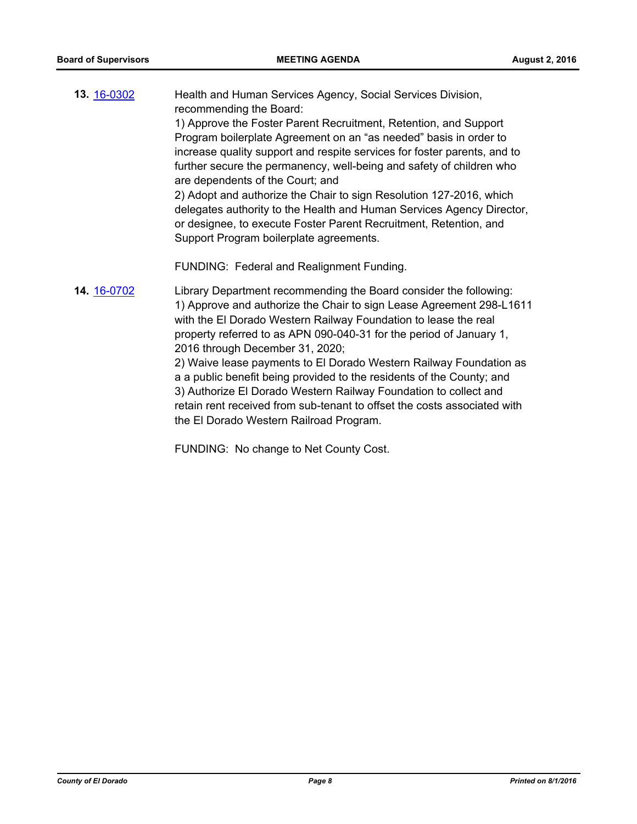- Health and Human Services Agency, Social Services Division, recommending the Board: 1) Approve the Foster Parent Recruitment, Retention, and Support Program boilerplate Agreement on an "as needed" basis in order to increase quality support and respite services for foster parents, and to further secure the permanency, well-being and safety of children who are dependents of the Court; and 2) Adopt and authorize the Chair to sign Resolution 127-2016, which delegates authority to the Health and Human Services Agency Director, or designee, to execute Foster Parent Recruitment, Retention, and Support Program boilerplate agreements. FUNDING: Federal and Realignment Funding. **13.** [16-0302](http://eldorado.legistar.com/gateway.aspx?m=l&id=/matter.aspx?key=20958)
- Library Department recommending the Board consider the following: 1) Approve and authorize the Chair to sign Lease Agreement 298-L1611 with the El Dorado Western Railway Foundation to lease the real property referred to as APN 090-040-31 for the period of January 1, 2016 through December 31, 2020; 2) Waive lease payments to El Dorado Western Railway Foundation as **14.** [16-0702](http://eldorado.legistar.com/gateway.aspx?m=l&id=/matter.aspx?key=21360)

a a public benefit being provided to the residents of the County; and 3) Authorize El Dorado Western Railway Foundation to collect and retain rent received from sub-tenant to offset the costs associated with the El Dorado Western Railroad Program.

FUNDING: No change to Net County Cost.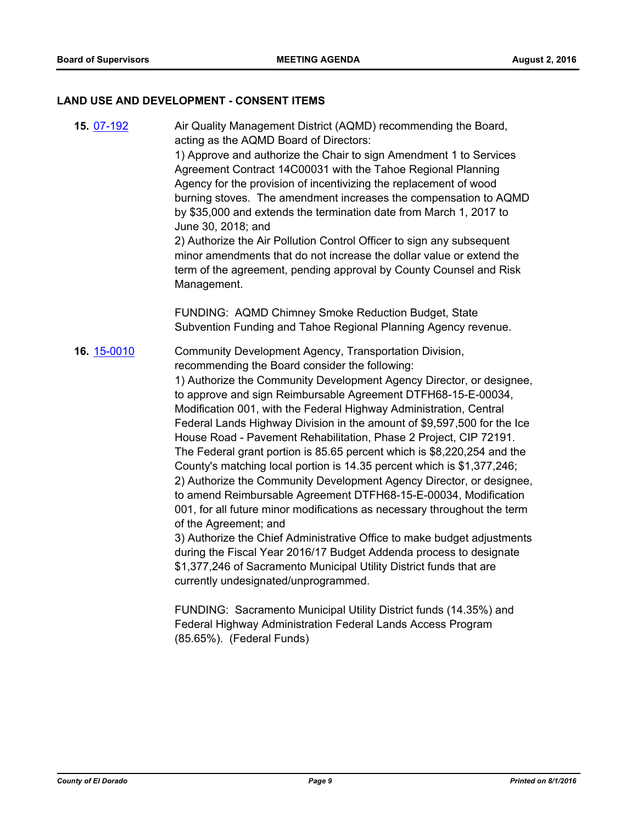#### **LAND USE AND DEVELOPMENT - CONSENT ITEMS**

Air Quality Management District (AQMD) recommending the Board, acting as the AQMD Board of Directors: 1) Approve and authorize the Chair to sign Amendment 1 to Services Agreement Contract 14C00031 with the Tahoe Regional Planning Agency for the provision of incentivizing the replacement of wood burning stoves. The amendment increases the compensation to AQMD by \$35,000 and extends the termination date from March 1, 2017 to June 30, 2018; and 2) Authorize the Air Pollution Control Officer to sign any subsequent minor amendments that do not increase the dollar value or extend the term of the agreement, pending approval by County Counsel and Risk Management. FUNDING: AQMD Chimney Smoke Reduction Budget, State Subvention Funding and Tahoe Regional Planning Agency revenue. **15.** [07-192](http://eldorado.legistar.com/gateway.aspx?m=l&id=/matter.aspx?key=4404) Community Development Agency, Transportation Division, recommending the Board consider the following: 1) Authorize the Community Development Agency Director, or designee, to approve and sign Reimbursable Agreement DTFH68-15-E-00034, Modification 001, with the Federal Highway Administration, Central Federal Lands Highway Division in the amount of \$9,597,500 for the Ice House Road - Pavement Rehabilitation, Phase 2 Project, CIP 72191. The Federal grant portion is 85.65 percent which is \$8,220,254 and the County's matching local portion is 14.35 percent which is \$1,377,246; 2) Authorize the Community Development Agency Director, or designee, to amend Reimbursable Agreement DTFH68-15-E-00034, Modification 001, for all future minor modifications as necessary throughout the term of the Agreement; and 3) Authorize the Chief Administrative Office to make budget adjustments during the Fiscal Year 2016/17 Budget Addenda process to designate \$1,377,246 of Sacramento Municipal Utility District funds that are currently undesignated/unprogrammed. **16.** [15-0010](http://eldorado.legistar.com/gateway.aspx?m=l&id=/matter.aspx?key=19189)

> FUNDING: Sacramento Municipal Utility District funds (14.35%) and Federal Highway Administration Federal Lands Access Program (85.65%). (Federal Funds)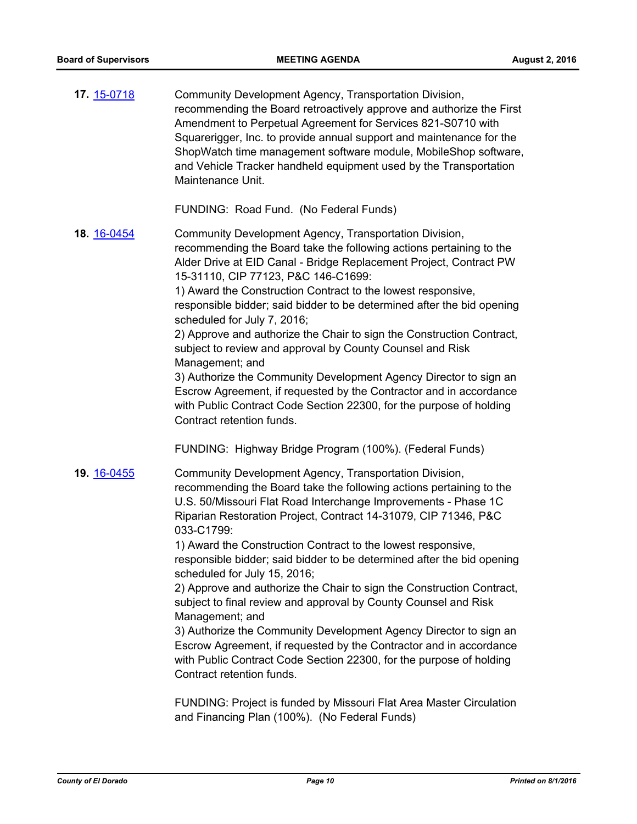| 17. 15-0718 | Community Development Agency, Transportation Division,<br>recommending the Board retroactively approve and authorize the First<br>Amendment to Perpetual Agreement for Services 821-S0710 with<br>Squarerigger, Inc. to provide annual support and maintenance for the<br>ShopWatch time management software module, MobileShop software,<br>and Vehicle Tracker handheld equipment used by the Transportation<br>Maintenance Unit.                                                                                                                                                                                                                                                                                                                                                                                                                                      |
|-------------|--------------------------------------------------------------------------------------------------------------------------------------------------------------------------------------------------------------------------------------------------------------------------------------------------------------------------------------------------------------------------------------------------------------------------------------------------------------------------------------------------------------------------------------------------------------------------------------------------------------------------------------------------------------------------------------------------------------------------------------------------------------------------------------------------------------------------------------------------------------------------|
|             | FUNDING: Road Fund. (No Federal Funds)                                                                                                                                                                                                                                                                                                                                                                                                                                                                                                                                                                                                                                                                                                                                                                                                                                   |
| 18. 16-0454 | Community Development Agency, Transportation Division,<br>recommending the Board take the following actions pertaining to the<br>Alder Drive at EID Canal - Bridge Replacement Project, Contract PW<br>15-31110, CIP 77123, P&C 146-C1699:<br>1) Award the Construction Contract to the lowest responsive,<br>responsible bidder; said bidder to be determined after the bid opening<br>scheduled for July 7, 2016;<br>2) Approve and authorize the Chair to sign the Construction Contract,<br>subject to review and approval by County Counsel and Risk<br>Management; and<br>3) Authorize the Community Development Agency Director to sign an<br>Escrow Agreement, if requested by the Contractor and in accordance<br>with Public Contract Code Section 22300, for the purpose of holding<br>Contract retention funds.                                              |
|             | FUNDING: Highway Bridge Program (100%). (Federal Funds)                                                                                                                                                                                                                                                                                                                                                                                                                                                                                                                                                                                                                                                                                                                                                                                                                  |
| 19. 16-0455 | Community Development Agency, Transportation Division,<br>recommending the Board take the following actions pertaining to the<br>U.S. 50/Missouri Flat Road Interchange Improvements - Phase 1C<br>Riparian Restoration Project, Contract 14-31079, CIP 71346, P&C<br>033-C1799:<br>1) Award the Construction Contract to the lowest responsive,<br>responsible bidder; said bidder to be determined after the bid opening<br>scheduled for July 15, 2016;<br>2) Approve and authorize the Chair to sign the Construction Contract,<br>subject to final review and approval by County Counsel and Risk<br>Management; and<br>3) Authorize the Community Development Agency Director to sign an<br>Escrow Agreement, if requested by the Contractor and in accordance<br>with Public Contract Code Section 22300, for the purpose of holding<br>Contract retention funds. |
|             |                                                                                                                                                                                                                                                                                                                                                                                                                                                                                                                                                                                                                                                                                                                                                                                                                                                                          |

FUNDING: Project is funded by Missouri Flat Area Master Circulation and Financing Plan (100%). (No Federal Funds)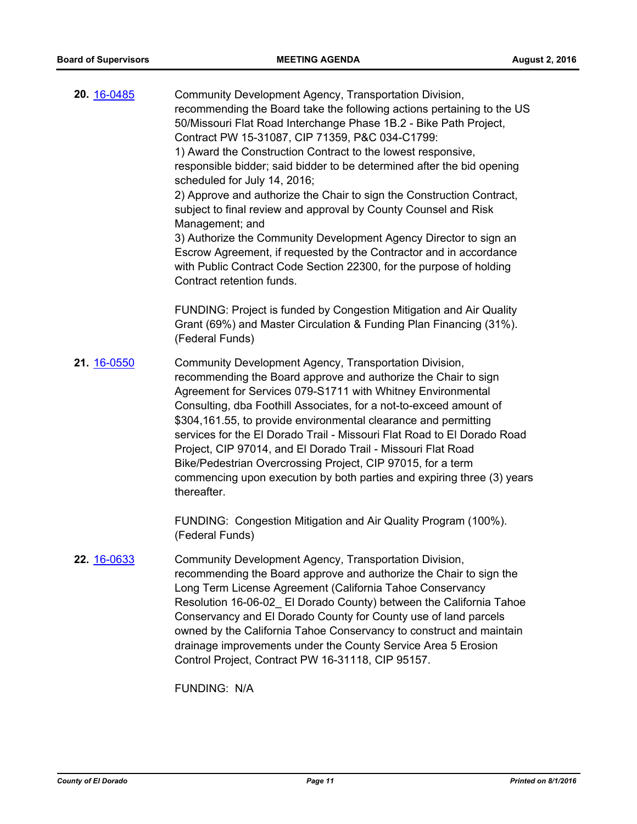| 20. 16-0485 | Community Development Agency, Transportation Division,<br>recommending the Board take the following actions pertaining to the US<br>50/Missouri Flat Road Interchange Phase 1B.2 - Bike Path Project,<br>Contract PW 15-31087, CIP 71359, P&C 034-C1799:<br>1) Award the Construction Contract to the lowest responsive,<br>responsible bidder; said bidder to be determined after the bid opening<br>scheduled for July 14, 2016;<br>2) Approve and authorize the Chair to sign the Construction Contract,<br>subject to final review and approval by County Counsel and Risk<br>Management; and<br>3) Authorize the Community Development Agency Director to sign an<br>Escrow Agreement, if requested by the Contractor and in accordance<br>with Public Contract Code Section 22300, for the purpose of holding<br>Contract retention funds. |
|-------------|--------------------------------------------------------------------------------------------------------------------------------------------------------------------------------------------------------------------------------------------------------------------------------------------------------------------------------------------------------------------------------------------------------------------------------------------------------------------------------------------------------------------------------------------------------------------------------------------------------------------------------------------------------------------------------------------------------------------------------------------------------------------------------------------------------------------------------------------------|
|             | FUNDING: Project is funded by Congestion Mitigation and Air Quality<br>Grant (69%) and Master Circulation & Funding Plan Financing (31%).<br>(Federal Funds)                                                                                                                                                                                                                                                                                                                                                                                                                                                                                                                                                                                                                                                                                     |
| 21. 16-0550 | Community Development Agency, Transportation Division,<br>recommending the Board approve and authorize the Chair to sign<br>Agreement for Services 079-S1711 with Whitney Environmental<br>Consulting, dba Foothill Associates, for a not-to-exceed amount of<br>\$304,161.55, to provide environmental clearance and permitting<br>services for the El Dorado Trail - Missouri Flat Road to El Dorado Road<br>Project, CIP 97014, and El Dorado Trail - Missouri Flat Road<br>Bike/Pedestrian Overcrossing Project, CIP 97015, for a term<br>commencing upon execution by both parties and expiring three (3) years<br>thereafter.                                                                                                                                                                                                              |
|             | FUNDING: Congestion Mitigation and Air Quality Program (100%).<br>(Federal Funds)                                                                                                                                                                                                                                                                                                                                                                                                                                                                                                                                                                                                                                                                                                                                                                |
| 22. 16-0633 | Community Development Agency, Transportation Division,<br>recommending the Board approve and authorize the Chair to sign the<br>Long Term License Agreement (California Tahoe Conservancy<br>Resolution 16-06-02_ El Dorado County) between the California Tahoe<br>Conservancy and El Dorado County for County use of land parcels<br>owned by the California Tahoe Conservancy to construct and maintain<br>drainage improvements under the County Service Area 5 Erosion<br>Control Project, Contract PW 16-31118, CIP 95157.                                                                                                                                                                                                                                                                                                                 |

FUNDING: N/A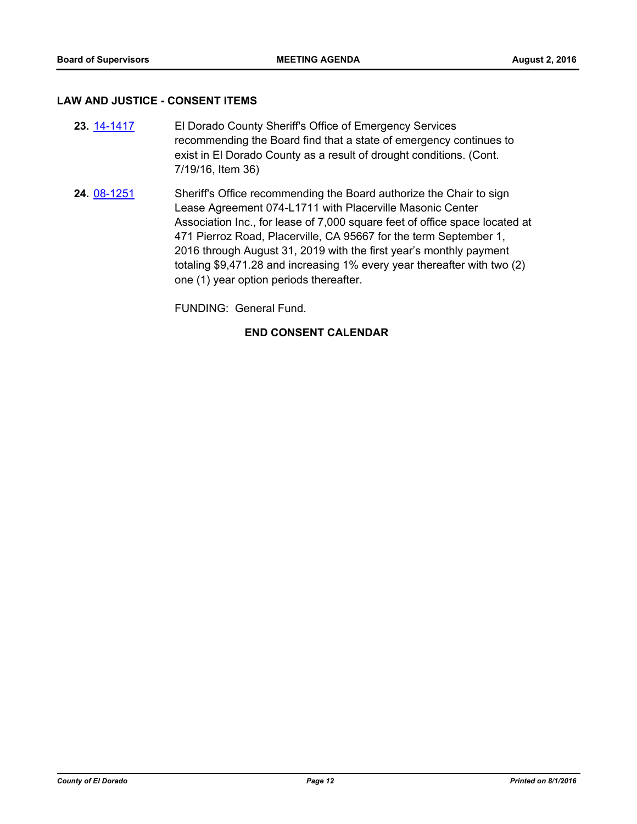#### **LAW AND JUSTICE - CONSENT ITEMS**

- El Dorado County Sheriff's Office of Emergency Services recommending the Board find that a state of emergency continues to exist in El Dorado County as a result of drought conditions. (Cont. 7/19/16, Item 36) **23.** [14-1417](http://eldorado.legistar.com/gateway.aspx?m=l&id=/matter.aspx?key=18901)
- Sheriff's Office recommending the Board authorize the Chair to sign Lease Agreement 074-L1711 with Placerville Masonic Center Association Inc., for lease of 7,000 square feet of office space located at 471 Pierroz Road, Placerville, CA 95667 for the term September 1, 2016 through August 31, 2019 with the first year's monthly payment totaling \$9,471.28 and increasing 1% every year thereafter with two (2) one (1) year option periods thereafter. **24.** [08-1251](http://eldorado.legistar.com/gateway.aspx?m=l&id=/matter.aspx?key=8652)

FUNDING: General Fund.

#### **END CONSENT CALENDAR**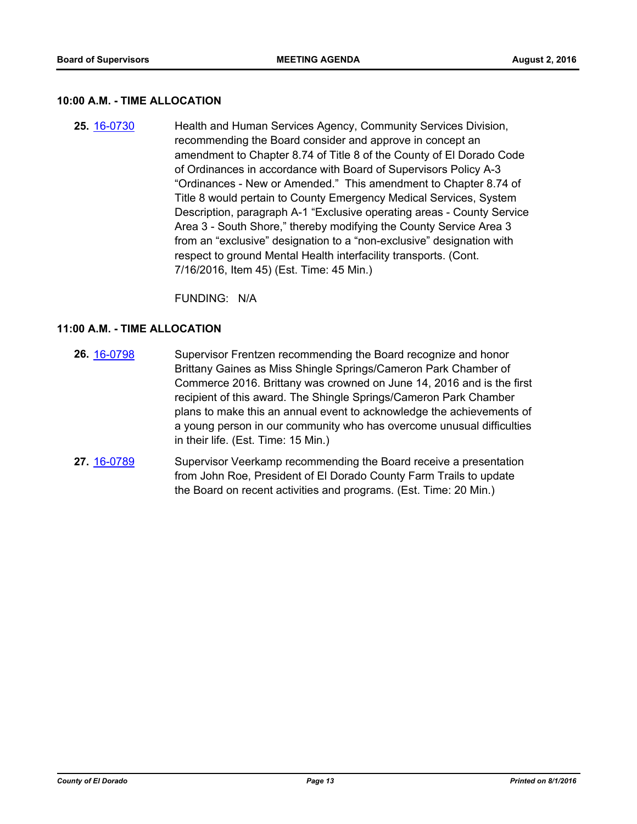#### **10:00 A.M. - TIME ALLOCATION**

Health and Human Services Agency, Community Services Division, recommending the Board consider and approve in concept an amendment to Chapter 8.74 of Title 8 of the County of El Dorado Code of Ordinances in accordance with Board of Supervisors Policy A-3 "Ordinances - New or Amended." This amendment to Chapter 8.74 of Title 8 would pertain to County Emergency Medical Services, System Description, paragraph A-1 "Exclusive operating areas - County Service Area 3 - South Shore," thereby modifying the County Service Area 3 from an "exclusive" designation to a "non-exclusive" designation with respect to ground Mental Health interfacility transports. (Cont. 7/16/2016, Item 45) (Est. Time: 45 Min.) **25.** [16-0730](http://eldorado.legistar.com/gateway.aspx?m=l&id=/matter.aspx?key=21388)

FUNDING: N/A

#### **11:00 A.M. - TIME ALLOCATION**

- Supervisor Frentzen recommending the Board recognize and honor Brittany Gaines as Miss Shingle Springs/Cameron Park Chamber of Commerce 2016. Brittany was crowned on June 14, 2016 and is the first recipient of this award. The Shingle Springs/Cameron Park Chamber plans to make this an annual event to acknowledge the achievements of a young person in our community who has overcome unusual difficulties in their life. (Est. Time: 15 Min.) **26.** [16-0798](http://eldorado.legistar.com/gateway.aspx?m=l&id=/matter.aspx?key=21456)
- Supervisor Veerkamp recommending the Board receive a presentation from John Roe, President of El Dorado County Farm Trails to update the Board on recent activities and programs. (Est. Time: 20 Min.) **27.** [16-0789](http://eldorado.legistar.com/gateway.aspx?m=l&id=/matter.aspx?key=21447)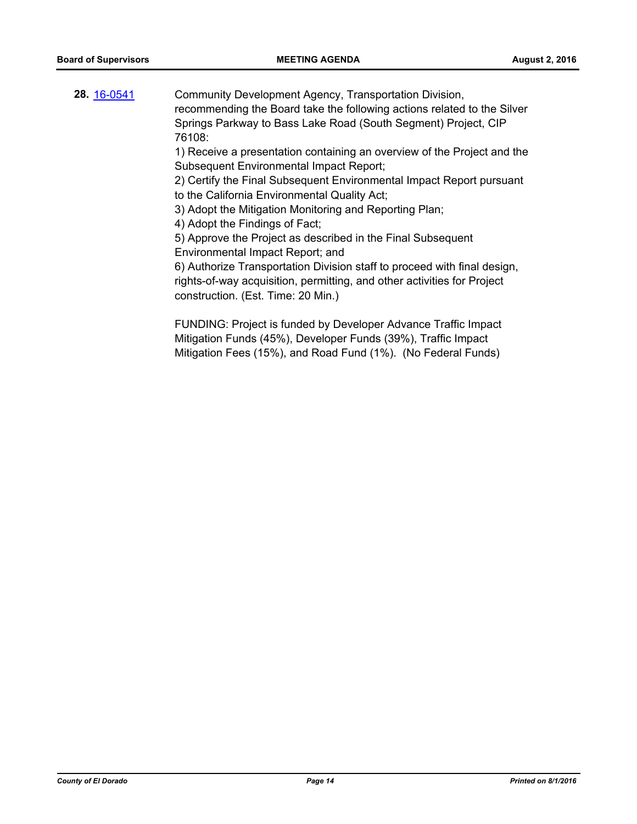Community Development Agency, Transportation Division, recommending the Board take the following actions related to the Silver Springs Parkway to Bass Lake Road (South Segment) Project, CIP 76108: 1) Receive a presentation containing an overview of the Project and the Subsequent Environmental Impact Report; 2) Certify the Final Subsequent Environmental Impact Report pursuant to the California Environmental Quality Act; 3) Adopt the Mitigation Monitoring and Reporting Plan; 4) Adopt the Findings of Fact; 5) Approve the Project as described in the Final Subsequent Environmental Impact Report; and 6) Authorize Transportation Division staff to proceed with final design, rights-of-way acquisition, permitting, and other activities for Project construction. (Est. Time: 20 Min.) **28.** [16-0541](http://eldorado.legistar.com/gateway.aspx?m=l&id=/matter.aspx?key=21199)

FUNDING: Project is funded by Developer Advance Traffic Impact Mitigation Funds (45%), Developer Funds (39%), Traffic Impact Mitigation Fees (15%), and Road Fund (1%). (No Federal Funds)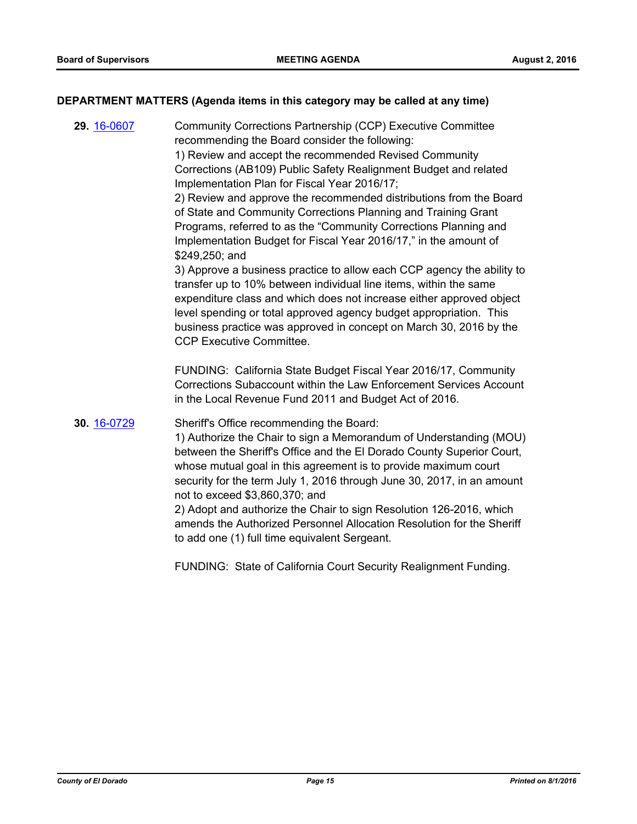#### **DEPARTMENT MATTERS (Agenda items in this category may be called at any time)**

Community Corrections Partnership (CCP) Executive Committee recommending the Board consider the following: 1) Review and accept the recommended Revised Community Corrections (AB109) Public Safety Realignment Budget and related Implementation Plan for Fiscal Year 2016/17; 2) Review and approve the recommended distributions from the Board of State and Community Corrections Planning and Training Grant Programs, referred to as the "Community Corrections Planning and Implementation Budget for Fiscal Year 2016/17," in the amount of \$249,250; and 3) Approve a business practice to allow each CCP agency the ability to transfer up to 10% between individual line items, within the same expenditure class and which does not increase either approved object level spending or total approved agency budget appropriation. This business practice was approved in concept on March 30, 2016 by the CCP Executive Committee. FUNDING: California State Budget Fiscal Year 2016/17, Community Corrections Subaccount within the Law Enforcement Services Account in the Local Revenue Fund 2011 and Budget Act of 2016. **29.** [16-0607](http://eldorado.legistar.com/gateway.aspx?m=l&id=/matter.aspx?key=21265) Sheriff's Office recommending the Board: 1) Authorize the Chair to sign a Memorandum of Understanding (MOU) between the Sheriff's Office and the El Dorado County Superior Court, whose mutual goal in this agreement is to provide maximum court security for the term July 1, 2016 through June 30, 2017, in an amount not to exceed \$3,860,370; and 2) Adopt and authorize the Chair to sign Resolution 126-2016, which amends the Authorized Personnel Allocation Resolution for the Sheriff to add one (1) full time equivalent Sergeant. **30.** [16-0729](http://eldorado.legistar.com/gateway.aspx?m=l&id=/matter.aspx?key=21387)

FUNDING: State of California Court Security Realignment Funding.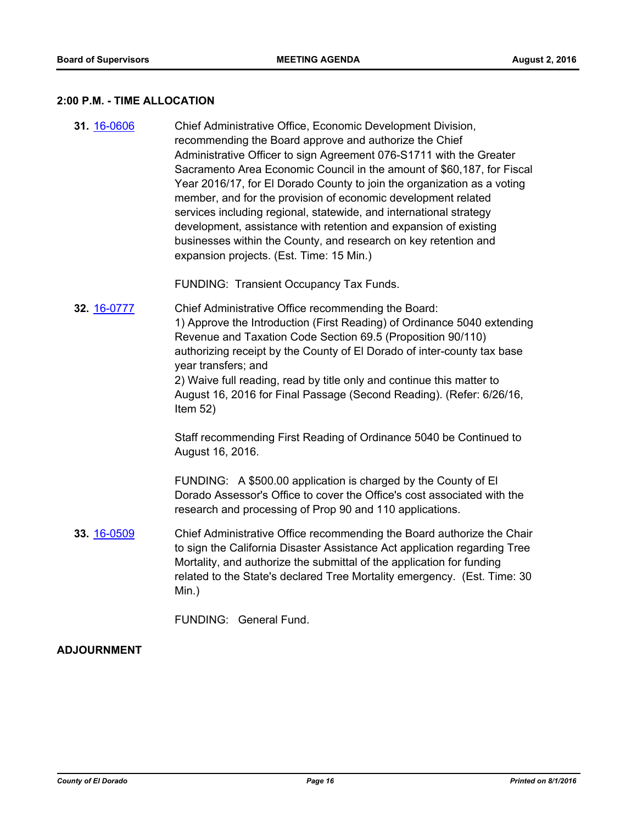#### **2:00 P.M. - TIME ALLOCATION**

Chief Administrative Office, Economic Development Division, recommending the Board approve and authorize the Chief Administrative Officer to sign Agreement 076-S1711 with the Greater Sacramento Area Economic Council in the amount of \$60,187, for Fiscal Year 2016/17, for El Dorado County to join the organization as a voting member, and for the provision of economic development related services including regional, statewide, and international strategy development, assistance with retention and expansion of existing businesses within the County, and research on key retention and expansion projects. (Est. Time: 15 Min.) **31.** [16-0606](http://eldorado.legistar.com/gateway.aspx?m=l&id=/matter.aspx?key=21264)

FUNDING: Transient Occupancy Tax Funds.

Chief Administrative Office recommending the Board: 1) Approve the Introduction (First Reading) of Ordinance 5040 extending Revenue and Taxation Code Section 69.5 (Proposition 90/110) authorizing receipt by the County of El Dorado of inter-county tax base year transfers; and 2) Waive full reading, read by title only and continue this matter to August 16, 2016 for Final Passage (Second Reading). (Refer: 6/26/16, Item 52) **32.** [16-0777](http://eldorado.legistar.com/gateway.aspx?m=l&id=/matter.aspx?key=21435)

> Staff recommending First Reading of Ordinance 5040 be Continued to August 16, 2016.

> FUNDING: A \$500.00 application is charged by the County of El Dorado Assessor's Office to cover the Office's cost associated with the research and processing of Prop 90 and 110 applications.

Chief Administrative Office recommending the Board authorize the Chair to sign the California Disaster Assistance Act application regarding Tree Mortality, and authorize the submittal of the application for funding related to the State's declared Tree Mortality emergency. (Est. Time: 30 Min.) **33.** [16-0509](http://eldorado.legistar.com/gateway.aspx?m=l&id=/matter.aspx?key=21167)

FUNDING: General Fund.

#### **ADJOURNMENT**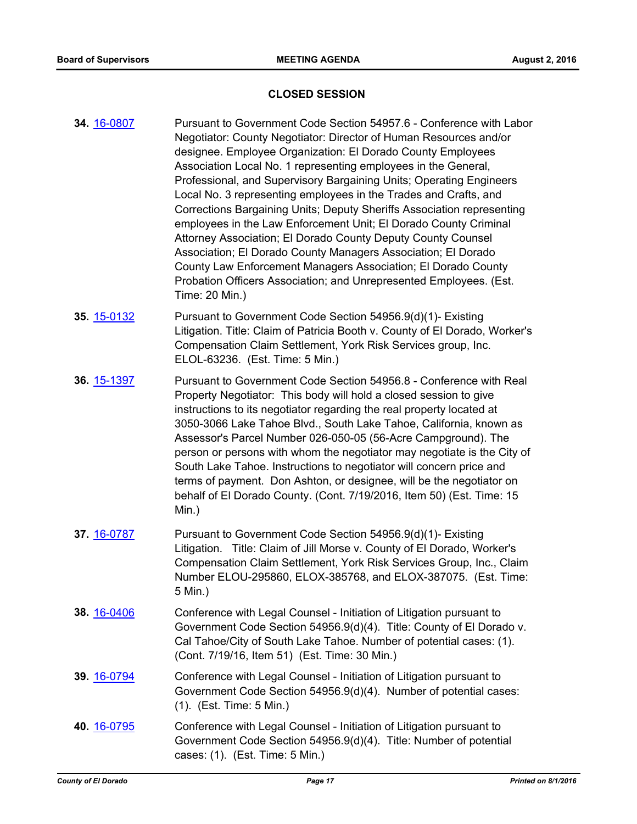#### **CLOSED SESSION**

- Pursuant to Government Code Section 54957.6 Conference with Labor Negotiator: County Negotiator: Director of Human Resources and/or designee. Employee Organization: El Dorado County Employees Association Local No. 1 representing employees in the General, Professional, and Supervisory Bargaining Units; Operating Engineers Local No. 3 representing employees in the Trades and Crafts, and Corrections Bargaining Units; Deputy Sheriffs Association representing employees in the Law Enforcement Unit; El Dorado County Criminal Attorney Association; El Dorado County Deputy County Counsel Association; El Dorado County Managers Association; El Dorado County Law Enforcement Managers Association; El Dorado County Probation Officers Association; and Unrepresented Employees. (Est. Time: 20 Min.) **34.** [16-0807](http://eldorado.legistar.com/gateway.aspx?m=l&id=/matter.aspx?key=21465) Pursuant to Government Code Section 54956.9(d)(1)- Existing Litigation. Title: Claim of Patricia Booth v. County of El Dorado, Worker's Compensation Claim Settlement, York Risk Services group, Inc. ELOL-63236. (Est. Time: 5 Min.) **35.** [15-0132](http://eldorado.legistar.com/gateway.aspx?m=l&id=/matter.aspx?key=19311) Pursuant to Government Code Section 54956.8 - Conference with Real Property Negotiator: This body will hold a closed session to give instructions to its negotiator regarding the real property located at 3050-3066 Lake Tahoe Blvd., South Lake Tahoe, California, known as Assessor's Parcel Number 026-050-05 (56-Acre Campground). The person or persons with whom the negotiator may negotiate is the City of South Lake Tahoe. Instructions to negotiator will concern price and terms of payment. Don Ashton, or designee, will be the negotiator on behalf of El Dorado County. (Cont. 7/19/2016, Item 50) (Est. Time: 15 Min.) **36.** [15-1397](http://eldorado.legistar.com/gateway.aspx?m=l&id=/matter.aspx?key=20574) Pursuant to Government Code Section 54956.9(d)(1)- Existing Litigation. Title: Claim of Jill Morse v. County of El Dorado, Worker's Compensation Claim Settlement, York Risk Services Group, Inc., Claim Number ELOU-295860, ELOX-385768, and ELOX-387075. (Est. Time: 5 Min.) **37.** [16-0787](http://eldorado.legistar.com/gateway.aspx?m=l&id=/matter.aspx?key=21445) Conference with Legal Counsel - Initiation of Litigation pursuant to Government Code Section 54956.9(d)(4). Title: County of El Dorado v. Cal Tahoe/City of South Lake Tahoe. Number of potential cases: (1). (Cont. 7/19/16, Item 51) (Est. Time: 30 Min.) **38.** [16-0406](http://eldorado.legistar.com/gateway.aspx?m=l&id=/matter.aspx?key=21063) Conference with Legal Counsel - Initiation of Litigation pursuant to Government Code Section 54956.9(d)(4). Number of potential cases: (1). (Est. Time: 5 Min.) **39.** [16-0794](http://eldorado.legistar.com/gateway.aspx?m=l&id=/matter.aspx?key=21452) Conference with Legal Counsel - Initiation of Litigation pursuant to **40.** [16-0795](http://eldorado.legistar.com/gateway.aspx?m=l&id=/matter.aspx?key=21453)
	- Government Code Section 54956.9(d)(4). Title: Number of potential cases: (1). (Est. Time: 5 Min.)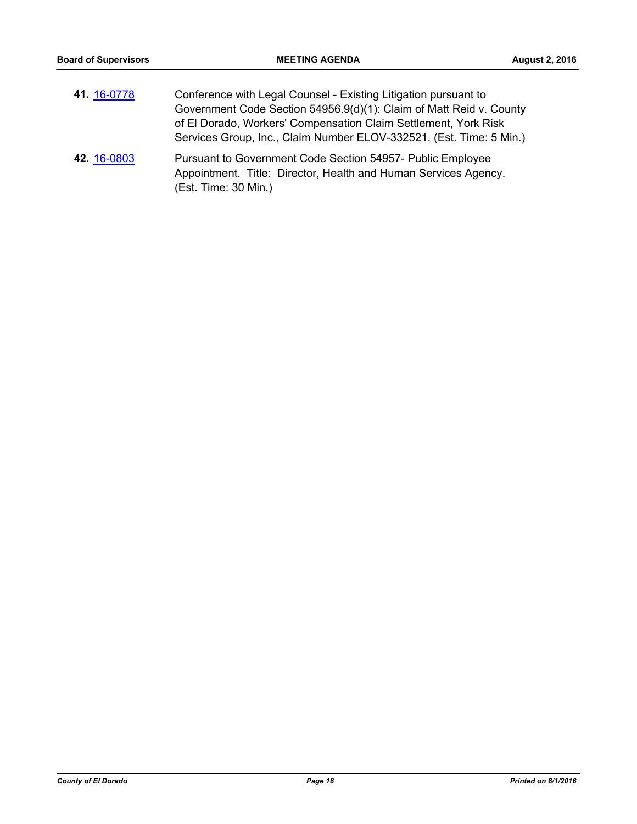| 41 16-0778  | Conference with Legal Counsel - Existing Litigation pursuant to<br>Government Code Section 54956.9(d)(1): Claim of Matt Reid v. County<br>of El Dorado, Workers' Compensation Claim Settlement, York Risk<br>Services Group, Inc., Claim Number ELOV-332521. (Est. Time: 5 Min.) |
|-------------|----------------------------------------------------------------------------------------------------------------------------------------------------------------------------------------------------------------------------------------------------------------------------------|
| 42. 16-0803 | Pursuant to Government Code Section 54957- Public Employee<br>Appointment. Title: Director, Health and Human Services Agency.<br>(Est. Time: 30 Min.)                                                                                                                            |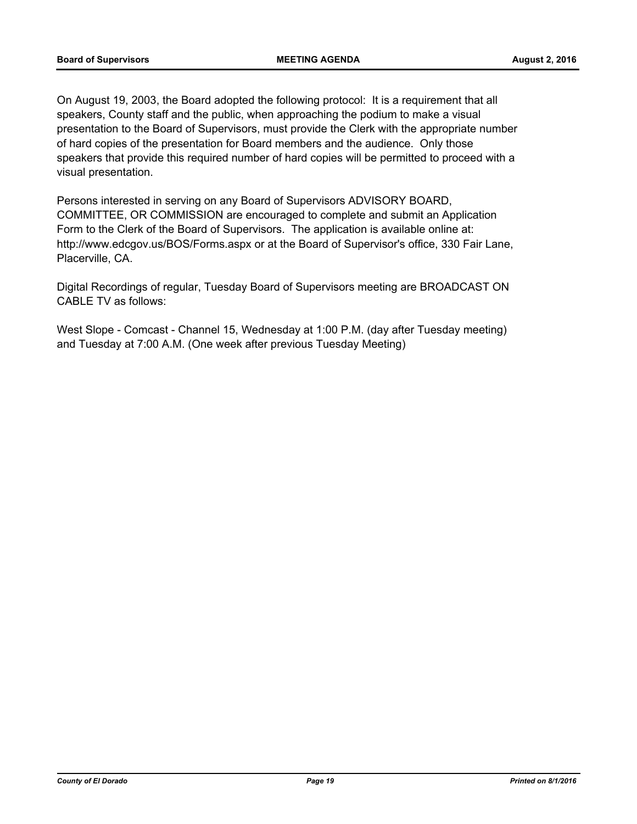On August 19, 2003, the Board adopted the following protocol: It is a requirement that all speakers, County staff and the public, when approaching the podium to make a visual presentation to the Board of Supervisors, must provide the Clerk with the appropriate number of hard copies of the presentation for Board members and the audience. Only those speakers that provide this required number of hard copies will be permitted to proceed with a visual presentation.

Persons interested in serving on any Board of Supervisors ADVISORY BOARD, COMMITTEE, OR COMMISSION are encouraged to complete and submit an Application Form to the Clerk of the Board of Supervisors. The application is available online at: http://www.edcgov.us/BOS/Forms.aspx or at the Board of Supervisor's office, 330 Fair Lane, Placerville, CA.

Digital Recordings of regular, Tuesday Board of Supervisors meeting are BROADCAST ON CABLE TV as follows:

West Slope - Comcast - Channel 15, Wednesday at 1:00 P.M. (day after Tuesday meeting) and Tuesday at 7:00 A.M. (One week after previous Tuesday Meeting)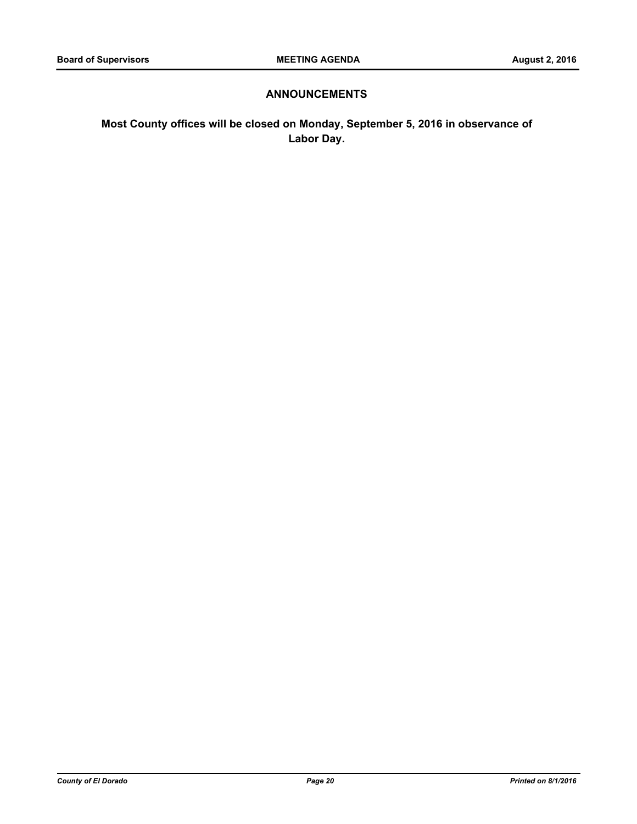### **ANNOUNCEMENTS**

**Most County offices will be closed on Monday, September 5, 2016 in observance of Labor Day.**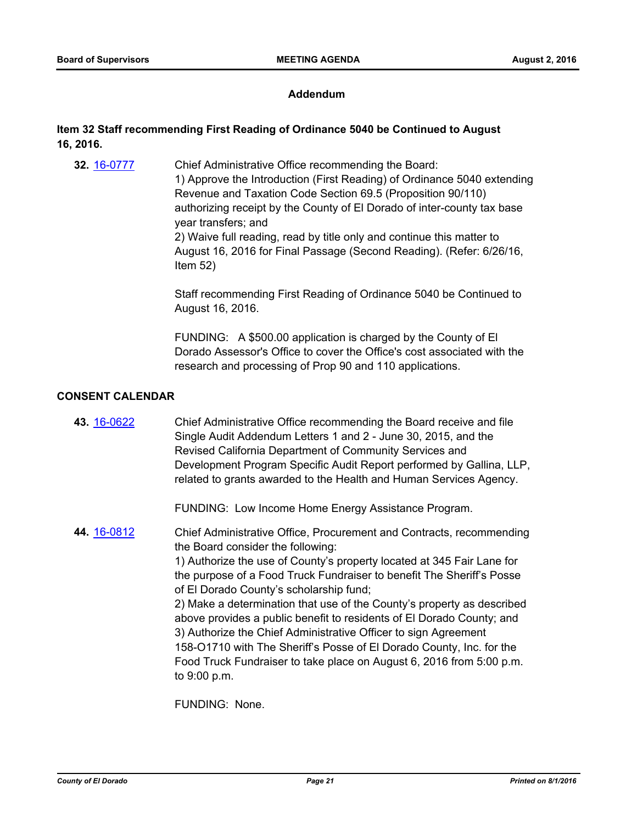#### **Addendum**

## **Item 32 Staff recommending First Reading of Ordinance 5040 be Continued to August 16, 2016.**

Chief Administrative Office recommending the Board: 1) Approve the Introduction (First Reading) of Ordinance 5040 extending Revenue and Taxation Code Section 69.5 (Proposition 90/110) authorizing receipt by the County of El Dorado of inter-county tax base year transfers; and 2) Waive full reading, read by title only and continue this matter to August 16, 2016 for Final Passage (Second Reading). (Refer: 6/26/16, Item 52) **32.** [16-0777](http://eldorado.legistar.com/gateway.aspx?m=l&id=/matter.aspx?key=21435)

> Staff recommending First Reading of Ordinance 5040 be Continued to August 16, 2016.

> FUNDING: A \$500.00 application is charged by the County of El Dorado Assessor's Office to cover the Office's cost associated with the research and processing of Prop 90 and 110 applications.

#### **CONSENT CALENDAR**

Chief Administrative Office recommending the Board receive and file Single Audit Addendum Letters 1 and 2 - June 30, 2015, and the Revised California Department of Community Services and Development Program Specific Audit Report performed by Gallina, LLP, related to grants awarded to the Health and Human Services Agency. **43.** [16-0622](http://eldorado.legistar.com/gateway.aspx?m=l&id=/matter.aspx?key=21280)

FUNDING: Low Income Home Energy Assistance Program.

Chief Administrative Office, Procurement and Contracts, recommending the Board consider the following: 1) Authorize the use of County's property located at 345 Fair Lane for the purpose of a Food Truck Fundraiser to benefit The Sheriff's Posse of El Dorado County's scholarship fund; 2) Make a determination that use of the County's property as described above provides a public benefit to residents of El Dorado County; and 3) Authorize the Chief Administrative Officer to sign Agreement 158-O1710 with The Sheriff's Posse of El Dorado County, Inc. for the Food Truck Fundraiser to take place on August 6, 2016 from 5:00 p.m. to 9:00 p.m. **44.** [16-0812](http://eldorado.legistar.com/gateway.aspx?m=l&id=/matter.aspx?key=21470)

FUNDING: None.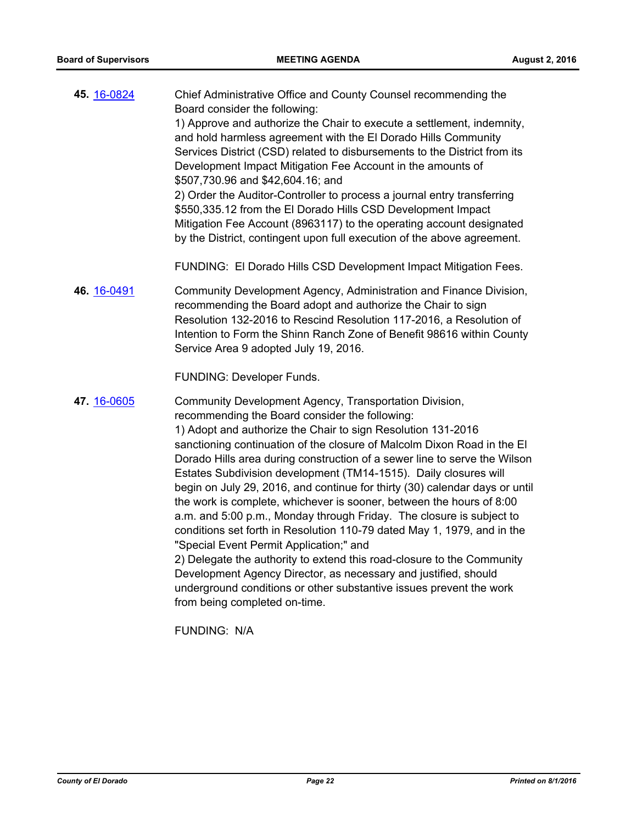| 45. 16-0824 | Chief Administrative Office and County Counsel recommending the<br>Board consider the following:<br>1) Approve and authorize the Chair to execute a settlement, indemnity,<br>and hold harmless agreement with the El Dorado Hills Community<br>Services District (CSD) related to disbursements to the District from its<br>Development Impact Mitigation Fee Account in the amounts of<br>\$507,730.96 and \$42,604.16; and<br>2) Order the Auditor-Controller to process a journal entry transferring<br>\$550,335.12 from the El Dorado Hills CSD Development Impact<br>Mitigation Fee Account (8963117) to the operating account designated<br>by the District, contingent upon full execution of the above agreement.                                                                                                                                                                                                                                                                                    |
|-------------|----------------------------------------------------------------------------------------------------------------------------------------------------------------------------------------------------------------------------------------------------------------------------------------------------------------------------------------------------------------------------------------------------------------------------------------------------------------------------------------------------------------------------------------------------------------------------------------------------------------------------------------------------------------------------------------------------------------------------------------------------------------------------------------------------------------------------------------------------------------------------------------------------------------------------------------------------------------------------------------------------------------|
|             | FUNDING: El Dorado Hills CSD Development Impact Mitigation Fees.                                                                                                                                                                                                                                                                                                                                                                                                                                                                                                                                                                                                                                                                                                                                                                                                                                                                                                                                               |
| 46. 16-0491 | Community Development Agency, Administration and Finance Division,<br>recommending the Board adopt and authorize the Chair to sign<br>Resolution 132-2016 to Rescind Resolution 117-2016, a Resolution of<br>Intention to Form the Shinn Ranch Zone of Benefit 98616 within County<br>Service Area 9 adopted July 19, 2016.                                                                                                                                                                                                                                                                                                                                                                                                                                                                                                                                                                                                                                                                                    |
|             | FUNDING: Developer Funds.                                                                                                                                                                                                                                                                                                                                                                                                                                                                                                                                                                                                                                                                                                                                                                                                                                                                                                                                                                                      |
| 47. 16-0605 | Community Development Agency, Transportation Division,<br>recommending the Board consider the following:<br>1) Adopt and authorize the Chair to sign Resolution 131-2016<br>sanctioning continuation of the closure of Malcolm Dixon Road in the El<br>Dorado Hills area during construction of a sewer line to serve the Wilson<br>Estates Subdivision development (TM14-1515). Daily closures will<br>begin on July 29, 2016, and continue for thirty (30) calendar days or until<br>the work is complete, whichever is sooner, between the hours of 8:00<br>a.m. and 5:00 p.m., Monday through Friday. The closure is subject to<br>conditions set forth in Resolution 110-79 dated May 1, 1979, and in the<br>"Special Event Permit Application;" and<br>2) Delegate the authority to extend this road-closure to the Community<br>Development Agency Director, as necessary and justified, should<br>underground conditions or other substantive issues prevent the work<br>from being completed on-time. |

FUNDING: N/A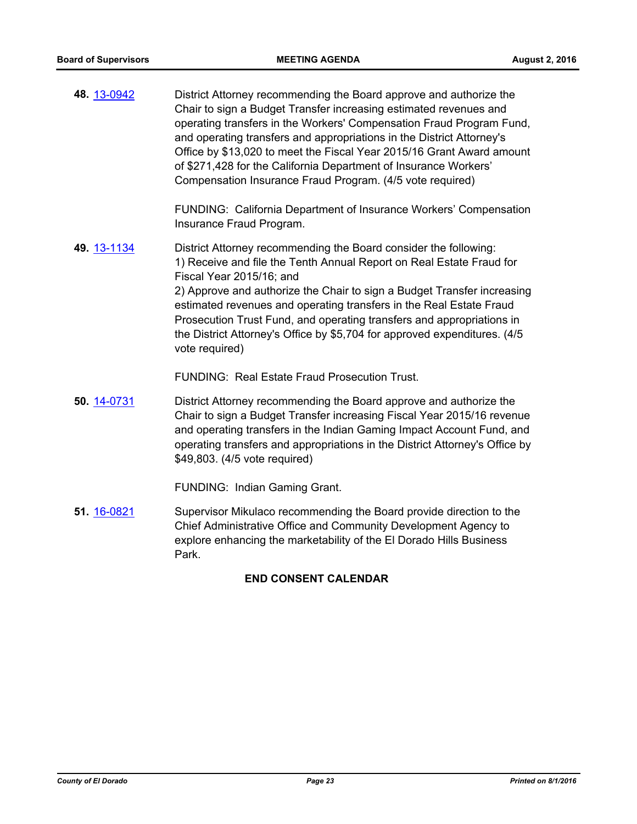| 48. 13-0942 | District Attorney recommending the Board approve and authorize the<br>Chair to sign a Budget Transfer increasing estimated revenues and<br>operating transfers in the Workers' Compensation Fraud Program Fund,<br>and operating transfers and appropriations in the District Attorney's<br>Office by \$13,020 to meet the Fiscal Year 2015/16 Grant Award amount<br>of \$271,428 for the California Department of Insurance Workers'<br>Compensation Insurance Fraud Program. (4/5 vote required) |
|-------------|----------------------------------------------------------------------------------------------------------------------------------------------------------------------------------------------------------------------------------------------------------------------------------------------------------------------------------------------------------------------------------------------------------------------------------------------------------------------------------------------------|
|             | FUNDING: California Department of Insurance Workers' Compensation<br>Insurance Fraud Program.                                                                                                                                                                                                                                                                                                                                                                                                      |
| 49. 13-1134 | District Attorney recommending the Board consider the following:<br>1) Receive and file the Tenth Annual Report on Real Estate Fraud for<br>Fiscal Year 2015/16; and<br>2) Approve and authorize the Chair to sign a Budget Transfer increasing<br>estimated revenues and operating transfers in the Real Estate Fraud<br>Prosecution Trust Fund, and operating transfers and appropriations in<br>the District Attorney's Office by \$5,704 for approved expenditures. (4/5)<br>vote required)    |
|             | <b>FUNDING: Real Estate Fraud Prosecution Trust.</b>                                                                                                                                                                                                                                                                                                                                                                                                                                               |
| 50. 14-0731 | District Attorney recommending the Board approve and authorize the<br>Chair to sign a Budget Transfer increasing Fiscal Year 2015/16 revenue<br>and operating transfers in the Indian Gaming Impact Account Fund, and<br>operating transfers and appropriations in the District Attorney's Office by<br>\$49,803. (4/5 vote required)                                                                                                                                                              |

FUNDING: Indian Gaming Grant.

Supervisor Mikulaco recommending the Board provide direction to the Chief Administrative Office and Community Development Agency to explore enhancing the marketability of the El Dorado Hills Business Park. **51.** [16-0821](http://eldorado.legistar.com/gateway.aspx?m=l&id=/matter.aspx?key=21479)

## **END CONSENT CALENDAR**